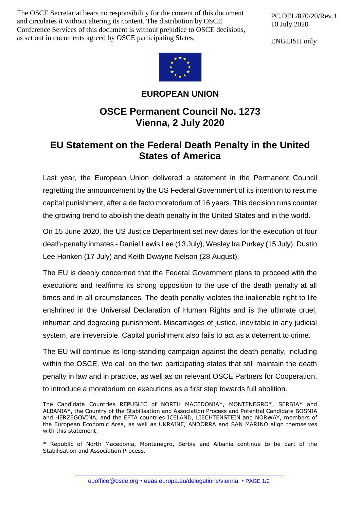The OSCE Secretariat bears no responsibility for the content of this document and circulates it without altering its content. The distribution by OSCE Conference Services of this document is without prejudice to OSCE decisions, as set out in documents agreed by OSCE participating States.

PC.DEL/870/20/Rev.1 10 July 2020

ENGLISH only



## **EUROPEAN UNION**

## **OSCE Permanent Council No. 1273 Vienna, 2 July 2020**

## **EU Statement on the Federal Death Penalty in the United States of America**

Last year, the European Union delivered a statement in the Permanent Council regretting the announcement by the US Federal Government of its intention to resume capital punishment, after a de facto moratorium of 16 years. This decision runs counter the growing trend to abolish the death penalty in the United States and in the world.

On 15 June 2020, the US Justice Department set new dates for the execution of four death-penalty inmates - Daniel Lewis Lee (13 July), Wesley Ira Purkey (15 July), Dustin Lee Honken (17 July) and Keith Dwayne Nelson (28 August).

The EU is deeply concerned that the Federal Government plans to proceed with the executions and reaffirms its strong opposition to the use of the death penalty at all times and in all circumstances. The death penalty violates the inalienable right to life enshrined in the Universal Declaration of Human Rights and is the ultimate cruel, inhuman and degrading punishment. Miscarriages of justice, inevitable in any judicial system, are irreversible. Capital punishment also fails to act as a deterrent to crime.

The EU will continue its long-standing campaign against the death penalty, including within the OSCE. We call on the two participating states that still maintain the death penalty in law and in practice, as well as on relevant OSCE Partners for Cooperation, to introduce a moratorium on executions as a first step towards full abolition.

The Candidate Countries REPUBLIC of NORTH MACEDONIA\*, MONTENEGRO\*, SERBIA\* and ALBANIA\*, the Country of the Stabilisation and Association Process and Potential Candidate BOSNIA and HERZEGOVINA, and the EFTA countries ICELAND, LIECHTENSTEIN and NORWAY, members of the European Economic Area, as well as UKRAINE, ANDORRA and SAN MARINO align themselves with this statement.

\* Republic of North Macedonia, Montenegro, Serbia and Albania continue to be part of the Stabilisation and Association Process.